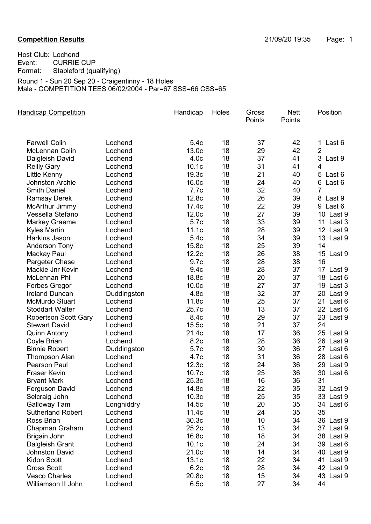## Competition Results 21/09/20 19:35 Page: 1

Host Club: Lochend Event: CURRIE CUP Format: Stableford (qualifying) Round 1 - Sun 20 Sep 20 - Craigentinny - 18 Holes

Male - COMPETITION TEES 06/02/2004 - Par=67 SSS=66 CSS=65

| <b>Handicap Competition</b> |             | Handicap          | Holes | Gross<br>Points | <b>Nett</b><br>Points | Position       |
|-----------------------------|-------------|-------------------|-------|-----------------|-----------------------|----------------|
| <b>Farwell Colin</b>        | Lochend     | 5.4c              | 18    | 37              | 42                    | 1 Last 6       |
| <b>McLennan Colin</b>       | Lochend     | 13.0c             | 18    | 29              | 42                    | $\overline{2}$ |
| Dalgleish David             | Lochend     | 4.0 <sub>c</sub>  | 18    | 37              | 41                    | 3 Last 9       |
| <b>Reilly Gary</b>          | Lochend     | 10.1c             | 18    | 31              | 41                    | $\overline{4}$ |
| Little Kenny                | Lochend     | 19.3c             | 18    | 21              | 40                    | 5 Last 6       |
| <b>Johnston Archie</b>      | Lochend     | 16.0 <sub>c</sub> | 18    | 24              | 40                    | 6 Last 6       |
| <b>Smith Daniel</b>         | Lochend     | 7.7c              | 18    | 32              | 40                    | 7              |
| <b>Ramsay Derek</b>         | Lochend     | 12.8c             | 18    | 26              | 39                    | 8 Last 9       |
| McArthur Jimmy              | Lochend     | 17.4c             | 18    | 22              | 39                    | 9 Last 6       |
| Vessella Stefano            | Lochend     | 12.0c             | 18    | 27              | 39                    | 10 Last 9      |
| <b>Markey Graeme</b>        | Lochend     | 5.7c              | 18    | 33              | 39                    | 11<br>Last 3   |
| <b>Kyles Martin</b>         | Lochend     | 11.1c             | 18    | 28              | 39                    | 12 Last 9      |
| Harkins Jason               | Lochend     | 5.4c              | 18    | 34              | 39                    | 13 Last 9      |
| <b>Anderson Tony</b>        | Lochend     | 15.8c             | 18    | 25              | 39                    | 14             |
| Mackay Paul                 | Lochend     | 12.2c             | 18    | 26              | 38                    | 15 Last 9      |
| Pargeter Chase              | Lochend     | 9.7c              | 18    | 28              | 38                    | 16             |
| Mackie Jnr Kevin            | Lochend     | 9.4c              | 18    | 28              | 37                    | 17 Last 9      |
| <b>McLennan Phil</b>        | Lochend     | 18.8c             | 18    | 20              | 37                    | 18 Last 6      |
| <b>Forbes Gregor</b>        | Lochend     | 10.0 <sub>c</sub> | 18    | 27              | 37                    | 19 Last 3      |
| <b>Ireland Duncan</b>       | Duddingston | 4.8c              | 18    | 32              | 37                    | 20 Last 9      |
| <b>McMurdo Stuart</b>       | Lochend     | 11.8c             | 18    | 25              | 37                    | 21<br>Last 6   |
| <b>Stoddart Walter</b>      | Lochend     | 25.7c             | 18    | 13              | 37                    | 22 Last 6      |
| <b>Robertson Scott Gary</b> | Lochend     | 8.4c              | 18    | 29              | 37                    | 23 Last 9      |
| <b>Stewart David</b>        | Lochend     | 15.5c             | 18    | 21              | 37                    | 24             |
| <b>Quinn Antony</b>         | Lochend     | 21.4c             | 18    | 17              | 36                    | 25 Last 9      |
| Coyle Brian                 | Lochend     | 8.2c              | 18    | 28              | 36                    | 26 Last 9      |
| <b>Binnie Robert</b>        | Duddingston | 5.7c              | 18    | 30              | 36                    | 27 Last 6      |
| <b>Thompson Alan</b>        | Lochend     | 4.7c              | 18    | 31              | 36                    | 28 Last 6      |
| <b>Pearson Paul</b>         | Lochend     | 12.3c             | 18    | 24              | 36                    | Last 9<br>29   |
| Fraser Kevin                | Lochend     | 10.7c             | 18    | 25              | 36                    | 30 Last 6      |
| <b>Bryant Mark</b>          | Lochend     | 25.3c             | 18    | 16              | 36                    | 31             |
| Ferguson David              | Lochend     | 14.8c             | 18    | 22              | 35                    | 32 Last 9      |
| Selcraig John               | Lochend     | 10.3 <sub>c</sub> | 18    | 25              | 35                    | 33 Last 9      |
| <b>Galloway Tam</b>         | Longniddry  | 14.5c             | 18    | 20              | 35                    | 34 Last 6      |
| <b>Sutherland Robert</b>    | Lochend     | 11.4c             | 18    | 24              | 35                    | 35             |
| Ross Brian                  | Lochend     | 30.3c             | 18    | 10              | 34                    | 36 Last 9      |
| Chapman Graham              | Lochend     | 25.2c             | 18    | 13              | 34                    | 37 Last 9      |
| Brigain John                | Lochend     | 16.8c             | 18    | 18              | 34                    | 38 Last 9      |
| Dalgleish Grant             | Lochend     | 10.1 <sub>c</sub> | 18    | 24              | 34                    | 39 Last 6      |
| <b>Johnston David</b>       | Lochend     | 21.0c             | 18    | 14              | 34                    | 40 Last 9      |
| <b>Kidon Scott</b>          | Lochend     | 13.1c             | 18    | 22              | 34                    | 41 Last 9      |
| <b>Cross Scott</b>          | Lochend     | 6.2c              | 18    | 28              | 34                    | 42 Last 9      |
| <b>Vesco Charles</b>        | Lochend     | 20.8c             | 18    | 15              | 34                    | 43 Last 9      |
| Williamson II John          | Lochend     | 6.5c              | 18    | 27              | 34                    | 44             |